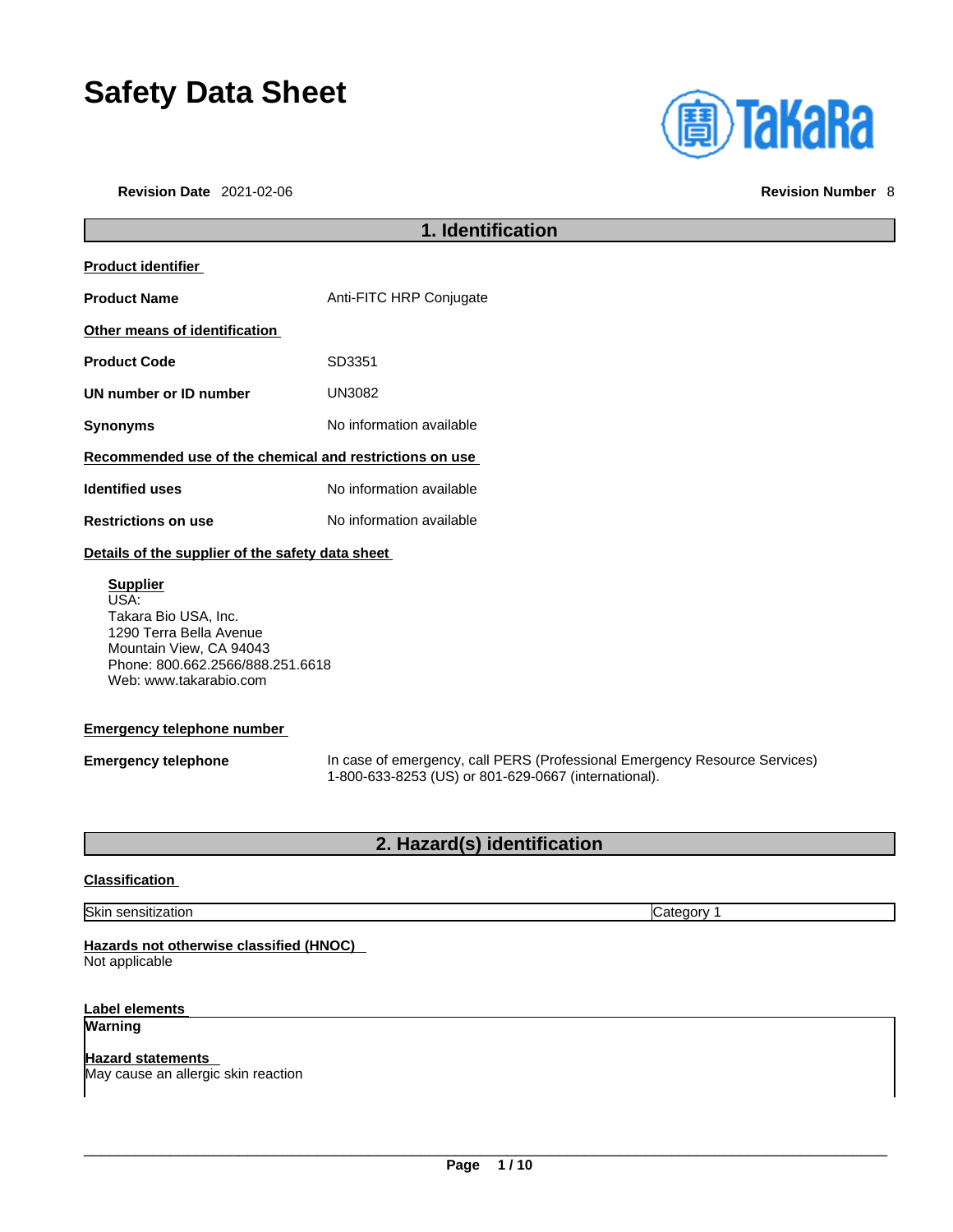# **Safety Data Sheet**

**Revision Date** 2021-02-06 **Revision Number** 8



|                                                                                                                                                                     | 1. Identification                                                                                                                  |
|---------------------------------------------------------------------------------------------------------------------------------------------------------------------|------------------------------------------------------------------------------------------------------------------------------------|
| <b>Product identifier</b>                                                                                                                                           |                                                                                                                                    |
| <b>Product Name</b>                                                                                                                                                 | Anti-FITC HRP Conjugate                                                                                                            |
| Other means of identification                                                                                                                                       |                                                                                                                                    |
| <b>Product Code</b>                                                                                                                                                 | SD3351                                                                                                                             |
| UN number or ID number                                                                                                                                              | <b>UN3082</b>                                                                                                                      |
| <b>Synonyms</b>                                                                                                                                                     | No information available                                                                                                           |
| Recommended use of the chemical and restrictions on use                                                                                                             |                                                                                                                                    |
| <b>Identified uses</b>                                                                                                                                              | No information available                                                                                                           |
| <b>Restrictions on use</b>                                                                                                                                          | No information available                                                                                                           |
| Details of the supplier of the safety data sheet                                                                                                                    |                                                                                                                                    |
| <b>Supplier</b><br>USA:<br>Takara Bio USA, Inc.<br>1290 Terra Bella Avenue<br>Mountain View, CA 94043<br>Phone: 800.662.2566/888.251.6618<br>Web: www.takarabio.com |                                                                                                                                    |
| <b>Emergency telephone number</b>                                                                                                                                   |                                                                                                                                    |
| <b>Emergency telephone</b>                                                                                                                                          | In case of emergency, call PERS (Professional Emergency Resource Services)<br>1-800-633-8253 (US) or 801-629-0667 (international). |
|                                                                                                                                                                     | 2. Hazard(s) identification                                                                                                        |
| <b>Classification</b>                                                                                                                                               |                                                                                                                                    |
| Skin sensitization                                                                                                                                                  | Category 1                                                                                                                         |

#### **Hazards not otherwise classified (HNOC)**  Not applicable

**Label elements Warning** 

**Hazard statements**  May cause an allergic skin reaction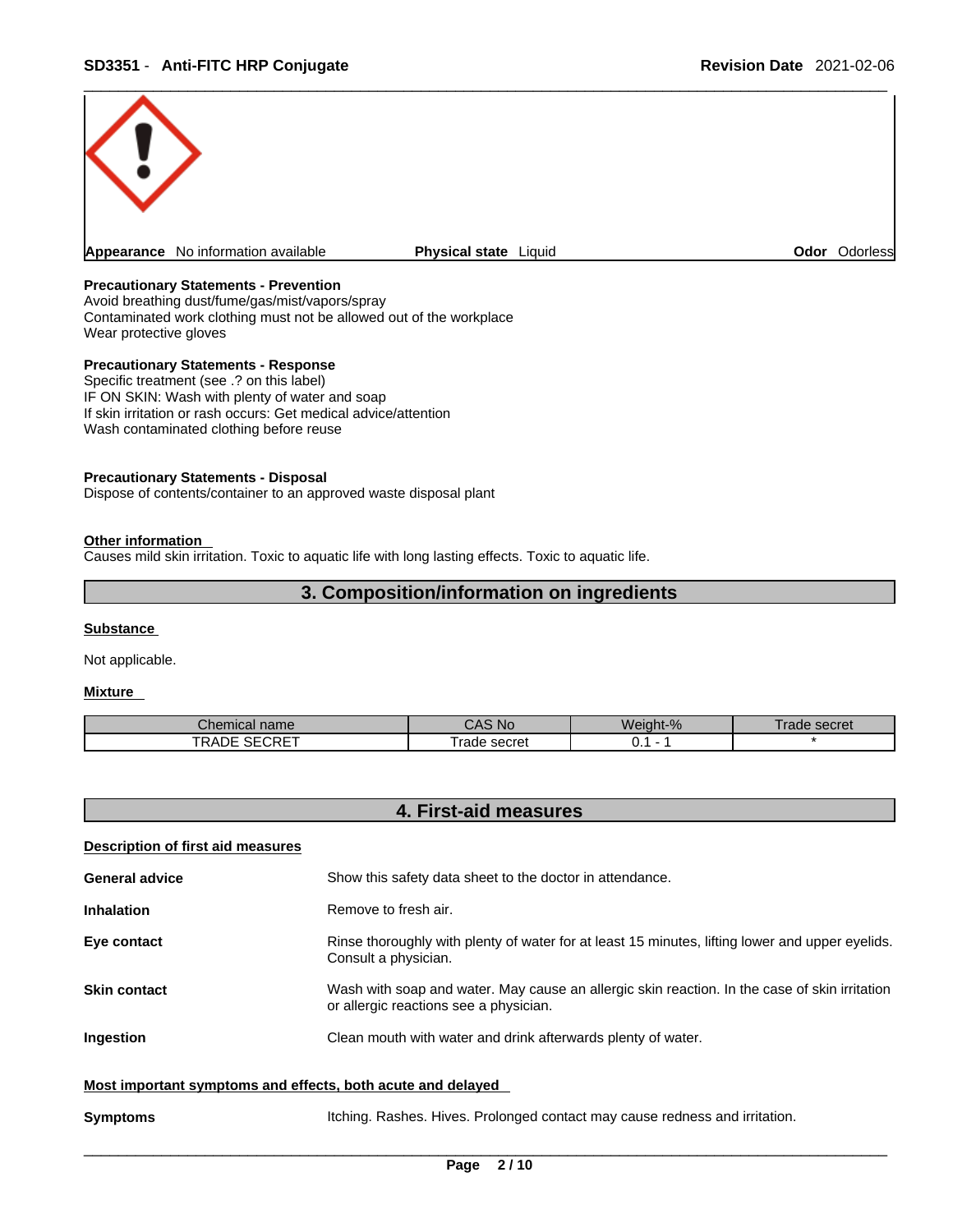

#### **Precautionary Statements - Prevention**

Avoid breathing dust/fume/gas/mist/vapors/spray Contaminated work clothing must not be allowed out of the workplace Wear protective gloves

#### **Precautionary Statements - Response**

Specific treatment (see .? on this label) IF ON SKIN: Wash with plenty of water and soap If skin irritation or rash occurs: Get medical advice/attention Wash contaminated clothing before reuse

#### **Precautionary Statements - Disposal**

Dispose of contents/container to an approved waste disposal plant

#### **Other information**

Causes mild skin irritation. Toxic to aquatic life with long lasting effects. Toxic to aquatic life.

#### **3. Composition/information on ingredients**

#### **Substance**

Not applicable.

#### **Mixture**

| name<br>Tiical                         | <b>NC</b>       | Weight-% | secret<br>้ลด |
|----------------------------------------|-----------------|----------|---------------|
| $C$ $C$ $C$ $C$ $T$<br>TRADE<br>OEURE. | ≞secret<br>rade | ັັ       |               |

| 4. First-aid measures                                       |                                                                                                                                         |
|-------------------------------------------------------------|-----------------------------------------------------------------------------------------------------------------------------------------|
| <b>Description of first aid measures</b>                    |                                                                                                                                         |
| <b>General advice</b>                                       | Show this safety data sheet to the doctor in attendance.                                                                                |
| <b>Inhalation</b>                                           | Remove to fresh air.                                                                                                                    |
| Eye contact                                                 | Rinse thoroughly with plenty of water for at least 15 minutes, lifting lower and upper eyelids.<br>Consult a physician.                 |
| <b>Skin contact</b>                                         | Wash with soap and water. May cause an allergic skin reaction. In the case of skin irritation<br>or allergic reactions see a physician. |
| Ingestion                                                   | Clean mouth with water and drink afterwards plenty of water.                                                                            |
| Most important symptoms and effects, both acute and delayed |                                                                                                                                         |
| <b>Symptoms</b>                                             | Itching. Rashes. Hives. Prolonged contact may cause redness and irritation.                                                             |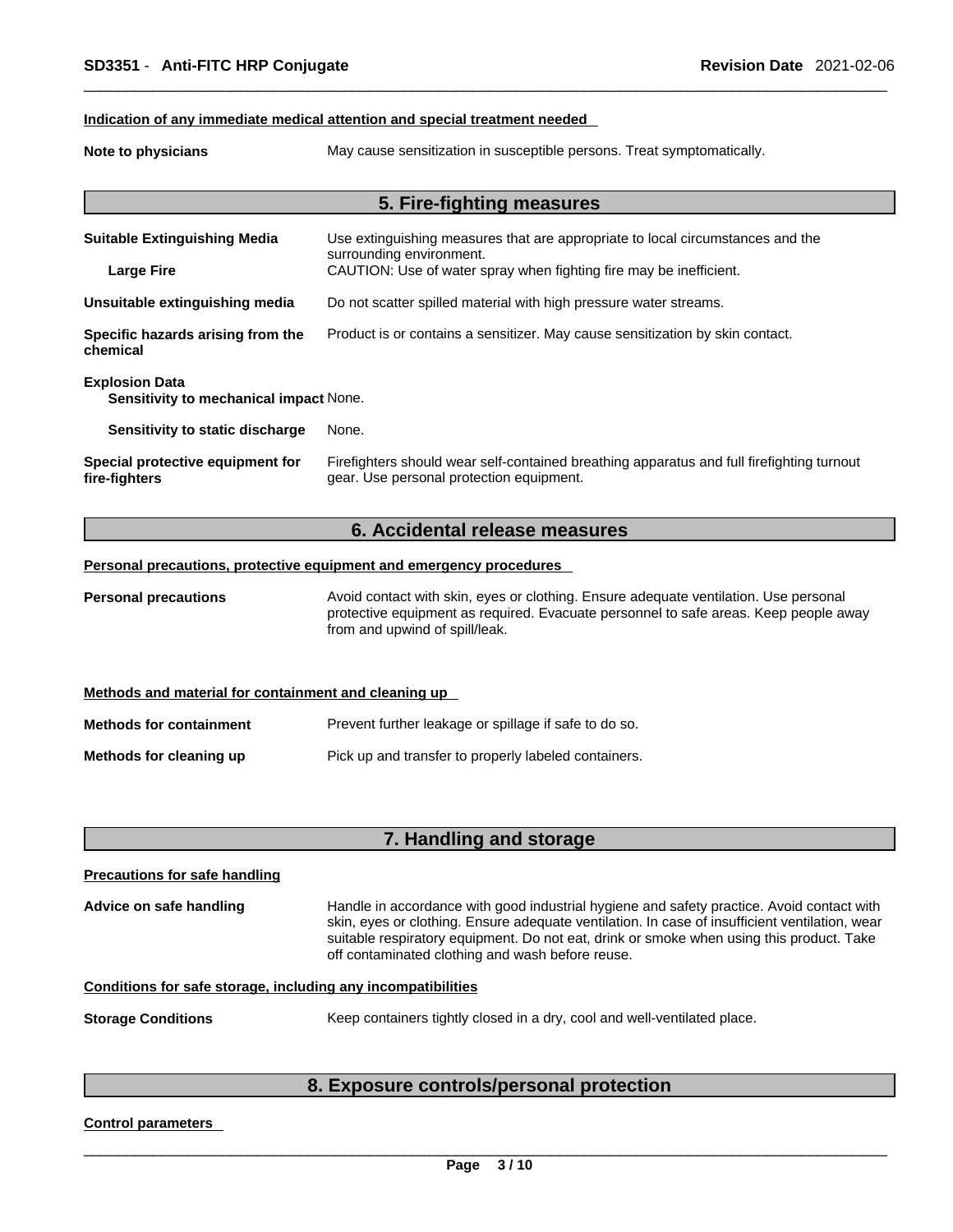#### **Indication of any immediate medical attention and special treatment needed**

**Note to physicians** May cause sensitization in susceptible persons. Treat symptomatically.

|                                                                 | 5. Fire-fighting measures                                                                                                             |
|-----------------------------------------------------------------|---------------------------------------------------------------------------------------------------------------------------------------|
| <b>Suitable Extinguishing Media</b>                             | Use extinguishing measures that are appropriate to local circumstances and the<br>surrounding environment.                            |
| <b>Large Fire</b>                                               | CAUTION: Use of water spray when fighting fire may be inefficient.                                                                    |
| Unsuitable extinguishing media                                  | Do not scatter spilled material with high pressure water streams.                                                                     |
| Specific hazards arising from the<br>chemical                   | Product is or contains a sensitizer. May cause sensitization by skin contact.                                                         |
| <b>Explosion Data</b><br>Sensitivity to mechanical impact None. |                                                                                                                                       |
| Sensitivity to static discharge                                 | None.                                                                                                                                 |
| Special protective equipment for<br>fire-fighters               | Firefighters should wear self-contained breathing apparatus and full firefighting turnout<br>gear. Use personal protection equipment. |

#### **6. Accidental release measures**

#### **Personal precautions, protective equipment and emergency procedures**

**Personal precautions** Avoid contact with skin, eyes or clothing. Ensure adequate ventilation. Use personal protective equipment as required. Evacuate personnel to safe areas. Keep people away from and upwind of spill/leak.

| Methods and material for containment and cleaning up |                                                       |
|------------------------------------------------------|-------------------------------------------------------|
| <b>Methods for containment</b>                       | Prevent further leakage or spillage if safe to do so. |
| Methods for cleaning up                              | Pick up and transfer to properly labeled containers.  |

#### **7. Handling and storage**

| <b>Precautions for safe handling</b> |                                                                                                                                                                                                                                                                                                                                             |
|--------------------------------------|---------------------------------------------------------------------------------------------------------------------------------------------------------------------------------------------------------------------------------------------------------------------------------------------------------------------------------------------|
| Advice on safe handling              | Handle in accordance with good industrial hygiene and safety practice. Avoid contact with<br>skin, eyes or clothing. Ensure adequate ventilation. In case of insufficient ventilation, wear<br>suitable respiratory equipment. Do not eat, drink or smoke when using this product. Take<br>off contaminated clothing and wash before reuse. |
|                                      | Conditions for safe storage, including any incompatibilities                                                                                                                                                                                                                                                                                |
| <b>Storage Conditions</b>            | Keep containers tightly closed in a dry, cool and well-ventilated place.                                                                                                                                                                                                                                                                    |

### **8. Exposure controls/personal protection**

#### **Control parameters**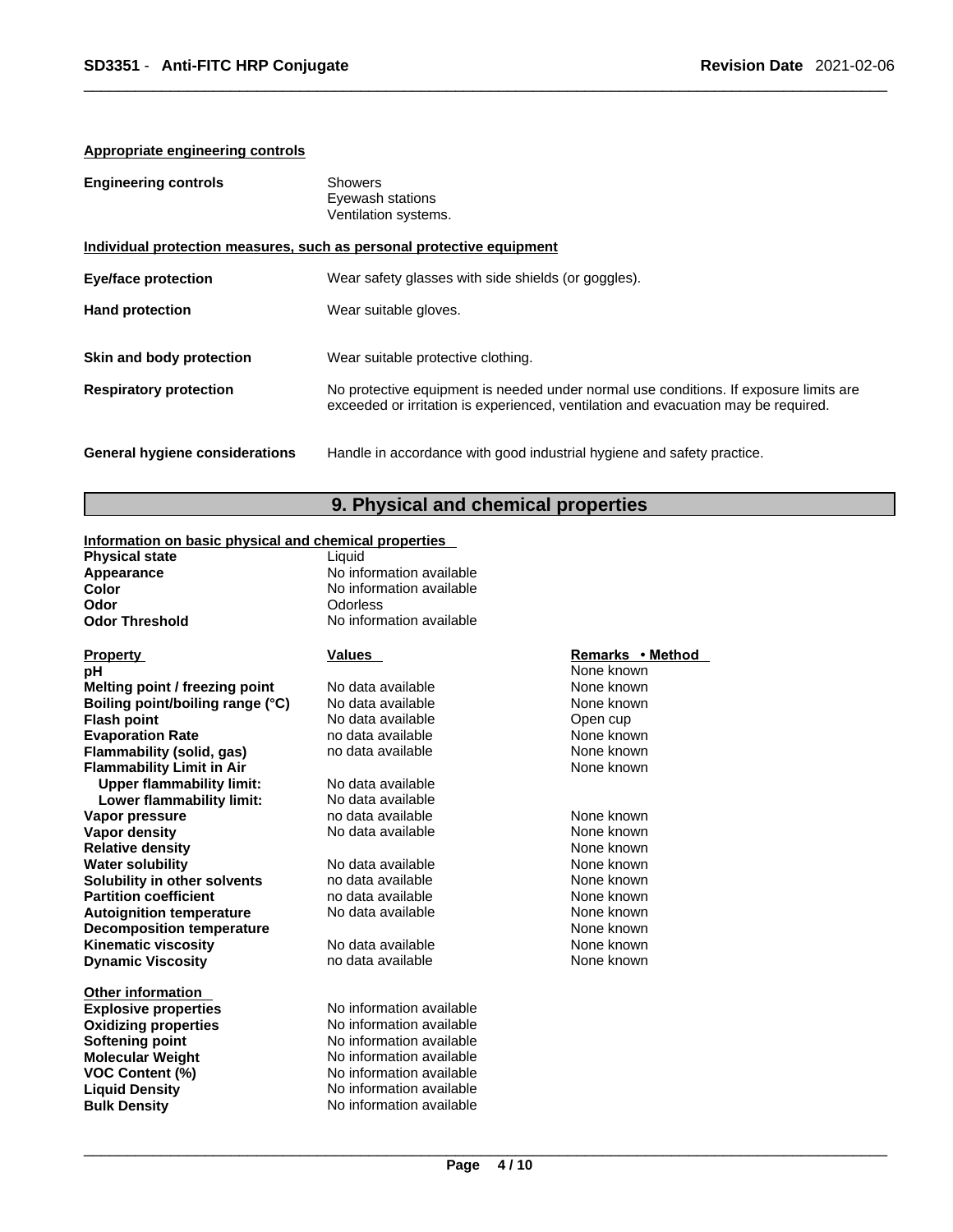#### **Appropriate engineering controls**

| <b>Engineering controls</b>           | <b>Showers</b><br>Eyewash stations<br>Ventilation systems.                                                                                                                  |
|---------------------------------------|-----------------------------------------------------------------------------------------------------------------------------------------------------------------------------|
|                                       | Individual protection measures, such as personal protective equipment                                                                                                       |
| <b>Eye/face protection</b>            | Wear safety glasses with side shields (or goggles).                                                                                                                         |
| <b>Hand protection</b>                | Wear suitable gloves.                                                                                                                                                       |
| Skin and body protection              | Wear suitable protective clothing.                                                                                                                                          |
| <b>Respiratory protection</b>         | No protective equipment is needed under normal use conditions. If exposure limits are<br>exceeded or irritation is experienced, ventilation and evacuation may be required. |
| <b>General hygiene considerations</b> | Handle in accordance with good industrial hygiene and safety practice.                                                                                                      |

#### **9. Physical and chemical properties**

#### **Information on basic physical and chemical properties**

| <b>Physical state</b> | Liauid                   |
|-----------------------|--------------------------|
| Appearance            | No information available |
| Color                 | No information available |
| Odor                  | Odorless                 |
| <b>Odor Threshold</b> | No information available |
|                       |                          |

**pH** None known **Melting point / freezing point** No data available None known<br> **Boiling point/boiling range (°C)** No data available None known **Boiling point/boiling range (°C)** No data available None known<br>
No data available No chara available Open cup **Evaporation Rate None known**<br> **Exaporation Rate Rate includes** the data available **None known**<br> **Rate in the Cone of the Cone And Are available None known Flammability** (solid, gas) **Flammability Limit in Air None known None known Upper flammability limit:** No data available **Lower flammability limit:** No data available **Vapor pressure and the contract of the contract of the contract of the Vapor Shown Wapor Contract and Vapor Vapor Shown None known variable vapor vapor value of the None known vapor vapor value of the None known vapor v Vapor density** No data available None known **Relative density**<br> **Relative density**<br> **Water solubility None known**<br>
None known<br>
None known **Water solubility <br>
<b>Water solubility nother solvents** and the data available **None known**<br> **Solubility in other solvents notata available none in the community** one known **Solubility in other solvents** and data available and the None known<br> **Partition coefficient** contract a no data available and the None known **Partition coefficient**<br> **Autoignition temperature** No data available None known<br>
None known **Autoignition temperature Decomposition temperature** None known None known **Kinematic viscosity No data available None known Dynamic Viscosity None known** no data available **None known** 

**Other information Softening point** 

# **Flash No data available Company of the Open cup**<br> **Flash point** None known

**Explosive properties** No information available **Oxidizing properties**<br> **Softening point**<br> **No information available**<br>
No information available **Molecular Weight Molecular Weight** No information available<br> **VOC Content (%)** No information available **VOC Content (%)**<br> **Content (%)**<br>
No information available<br>
No information available **Liquid Density Constructs** No information available<br> **Bulk Density No information available No information available** 

# **Property Constants Property Property Remarks • Remarks • Remarks • Remarks • None how None hown**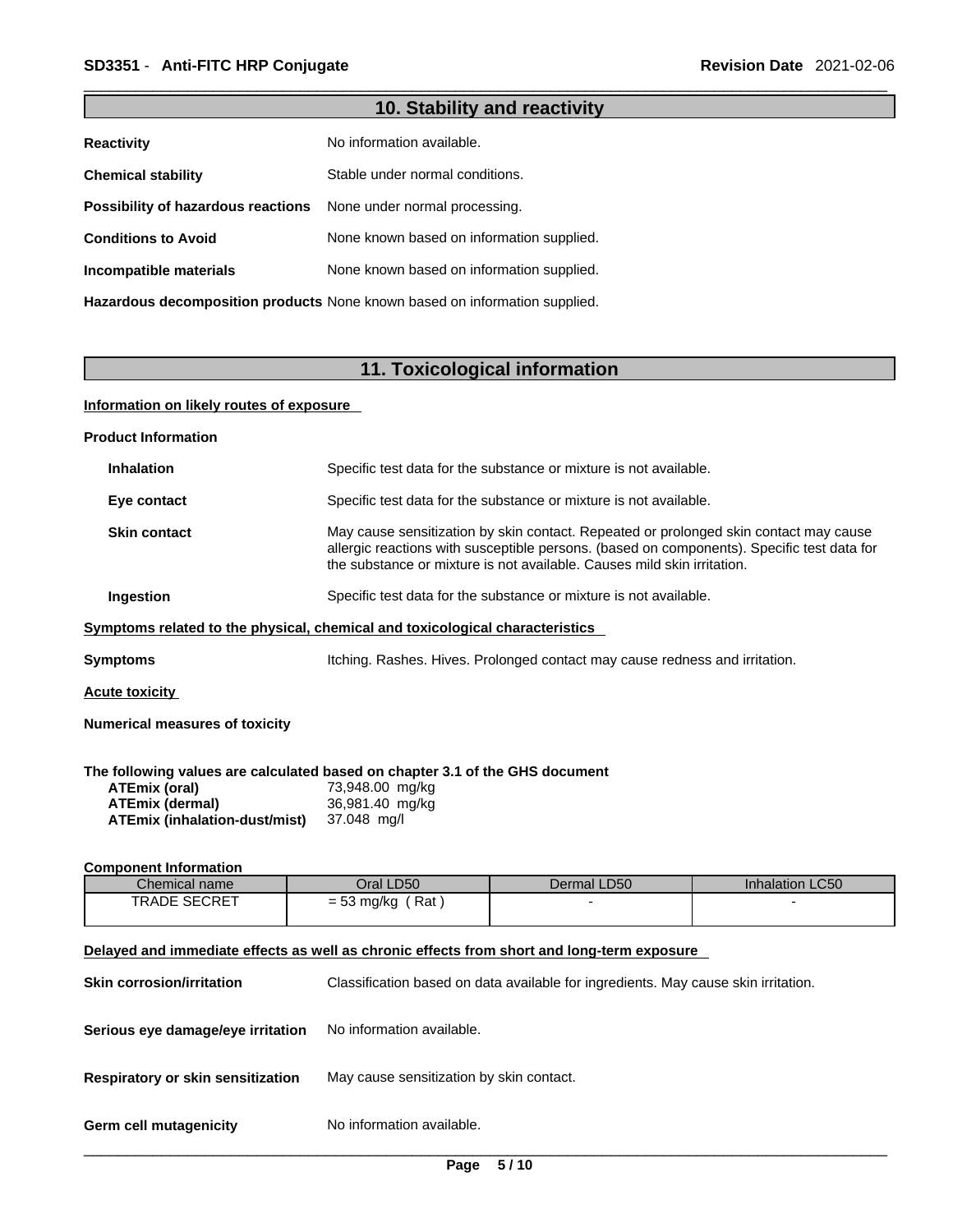## **10. Stability and reactivity**

| <b>Reactivity</b>                  | No information available.                                                  |
|------------------------------------|----------------------------------------------------------------------------|
| <b>Chemical stability</b>          | Stable under normal conditions.                                            |
| Possibility of hazardous reactions | None under normal processing.                                              |
| <b>Conditions to Avoid</b>         | None known based on information supplied.                                  |
| Incompatible materials             | None known based on information supplied.                                  |
|                                    | Hazardous decomposition products None known based on information supplied. |

## **11. Toxicological information**

#### **Information on likely routes of exposure**

| <b>Product Information</b>                                                                                                                                             |                                                   |                                                                                    |                                                                                                                                                                                     |
|------------------------------------------------------------------------------------------------------------------------------------------------------------------------|---------------------------------------------------|------------------------------------------------------------------------------------|-------------------------------------------------------------------------------------------------------------------------------------------------------------------------------------|
| <b>Inhalation</b>                                                                                                                                                      |                                                   | Specific test data for the substance or mixture is not available.                  |                                                                                                                                                                                     |
| Eye contact                                                                                                                                                            |                                                   | Specific test data for the substance or mixture is not available.                  |                                                                                                                                                                                     |
| <b>Skin contact</b>                                                                                                                                                    |                                                   | the substance or mixture is not available. Causes mild skin irritation.            | May cause sensitization by skin contact. Repeated or prolonged skin contact may cause<br>allergic reactions with susceptible persons. (based on components). Specific test data for |
| Ingestion                                                                                                                                                              |                                                   | Specific test data for the substance or mixture is not available.                  |                                                                                                                                                                                     |
| Symptoms related to the physical, chemical and toxicological characteristics                                                                                           |                                                   |                                                                                    |                                                                                                                                                                                     |
| Symptoms                                                                                                                                                               |                                                   | Itching. Rashes. Hives. Prolonged contact may cause redness and irritation.        |                                                                                                                                                                                     |
| <u>Acute toxicity</u>                                                                                                                                                  |                                                   |                                                                                    |                                                                                                                                                                                     |
| <b>Numerical measures of toxicity</b>                                                                                                                                  |                                                   |                                                                                    |                                                                                                                                                                                     |
| The following values are calculated based on chapter 3.1 of the GHS document<br><b>ATEmix (oral)</b><br><b>ATEmix (dermal)</b><br><b>ATEmix (inhalation-dust/mist)</b> | 73,948.00 mg/kg<br>36,981.40 mg/kg<br>37.048 mg/l |                                                                                    |                                                                                                                                                                                     |
| <b>Component Information</b>                                                                                                                                           |                                                   |                                                                                    |                                                                                                                                                                                     |
| Chemical name                                                                                                                                                          | Oral LD50                                         | Dermal LD50                                                                        | Inhalation LC50                                                                                                                                                                     |
| <b>TRADE SECRET</b>                                                                                                                                                    | $= 53$ mg/kg (Rat)                                |                                                                                    |                                                                                                                                                                                     |
| Delayed and immediate effects as well as chronic effects from short and long-term exposure                                                                             |                                                   |                                                                                    |                                                                                                                                                                                     |
| <b>Skin corrosion/irritation</b>                                                                                                                                       |                                                   | Classification based on data available for ingredients. May cause skin irritation. |                                                                                                                                                                                     |
| Serious eye damage/eye irritation                                                                                                                                      | No information available.                         |                                                                                    |                                                                                                                                                                                     |
|                                                                                                                                                                        |                                                   |                                                                                    |                                                                                                                                                                                     |

**Respiratory or skin sensitization** May cause sensitization by skin contact.

**Germ cell mutagenicity** No information available.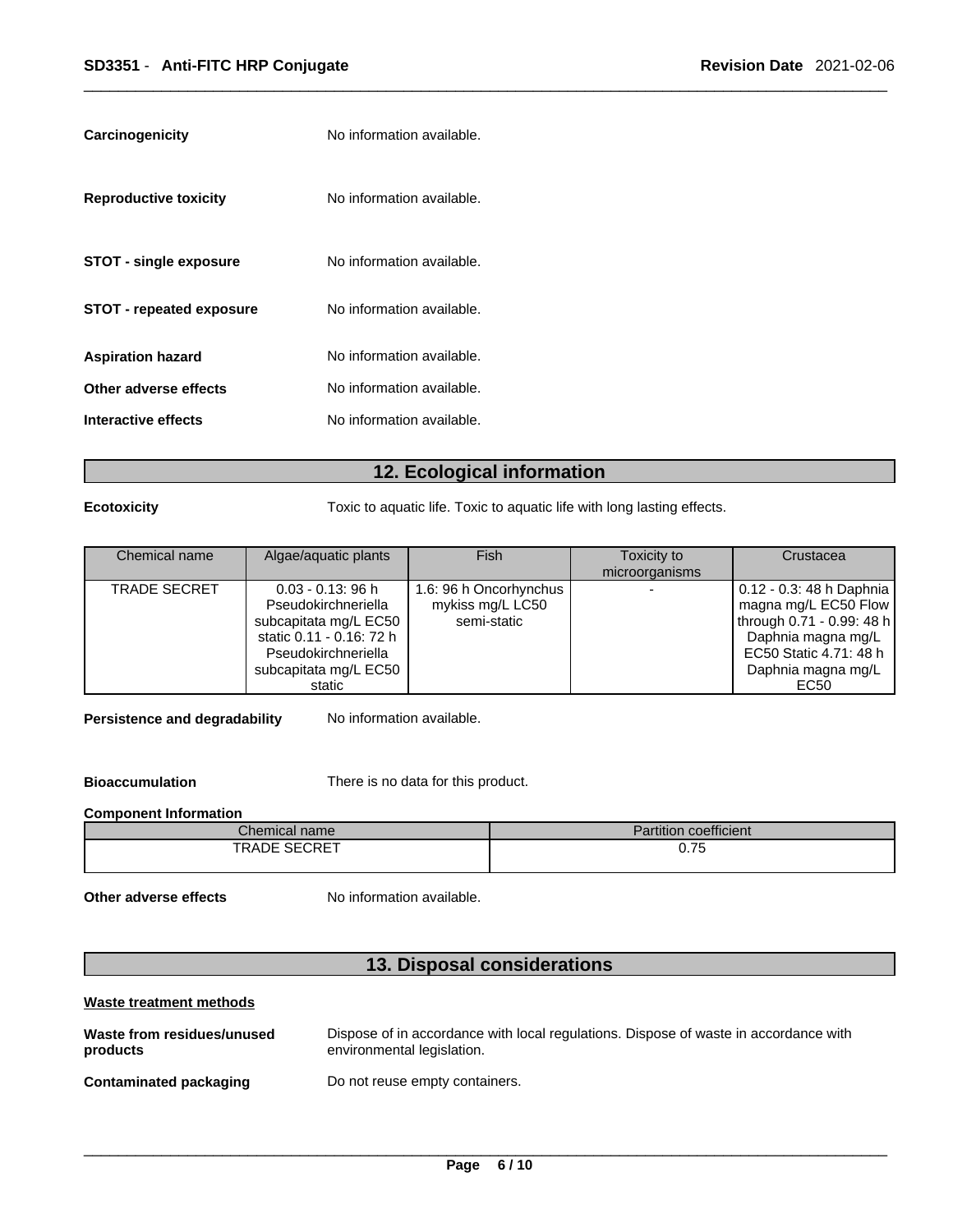| No information available.<br><b>Reproductive toxicity</b><br>No information available.<br><b>STOT - single exposure</b><br>No information available.<br><b>STOT - repeated exposure</b><br>No information available.<br><b>Aspiration hazard</b><br>No information available.<br>Other adverse effects<br>No information available.<br>Interactive effects | <b>Carcinogenicity</b> | No information available. |
|------------------------------------------------------------------------------------------------------------------------------------------------------------------------------------------------------------------------------------------------------------------------------------------------------------------------------------------------------------|------------------------|---------------------------|
|                                                                                                                                                                                                                                                                                                                                                            |                        |                           |
|                                                                                                                                                                                                                                                                                                                                                            |                        |                           |
|                                                                                                                                                                                                                                                                                                                                                            |                        |                           |
|                                                                                                                                                                                                                                                                                                                                                            |                        |                           |
|                                                                                                                                                                                                                                                                                                                                                            |                        |                           |
|                                                                                                                                                                                                                                                                                                                                                            |                        |                           |

## **12. Ecological information**

**Ecotoxicity Toxic to aquatic life. Toxic to aquatic life with long lasting effects.** 

| Chemical name       | Algae/aquatic plants     | Fish                   | Toxicity to    | Crustacea                 |
|---------------------|--------------------------|------------------------|----------------|---------------------------|
|                     |                          |                        | microorganisms |                           |
| <b>TRADE SECRET</b> | $0.03 - 0.13$ : 96 h     | 1.6: 96 h Oncorhynchus |                | 0.12 - 0.3: 48 h Daphnia  |
|                     | Pseudokirchneriella      | mykiss mg/L LC50       |                | magna mg/L EC50 Flow      |
|                     | subcapitata mg/L EC50    | semi-static            |                | through 0.71 - 0.99: 48 h |
|                     | static 0.11 - 0.16: 72 h |                        |                | Daphnia magna mg/L        |
|                     | Pseudokirchneriella      |                        |                | EC50 Static 4.71: 48 h    |
|                     | subcapitata mg/L EC50    |                        |                | Daphnia magna mg/L        |
|                     | static                   |                        |                | EC50                      |

**Persistence and degradability** No information available.

**Bioaccumulation** There is no data for this product.

#### **Component Information**

| $\mathcal L$ hemical name $\mathcal I$ | $\cdots$<br>1.111<br>Partition coefficient |
|----------------------------------------|--------------------------------------------|
| TRADE SECRET                           | ~ --<br>v. 1 J<br>$ -$                     |

**Other adverse effects** No information available.

## **13. Disposal considerations**

| Waste treatment methods                |                                                                                                                    |
|----------------------------------------|--------------------------------------------------------------------------------------------------------------------|
| Waste from residues/unused<br>products | Dispose of in accordance with local regulations. Dispose of waste in accordance with<br>environmental legislation. |
| Contaminated packaging                 | Do not reuse empty containers.                                                                                     |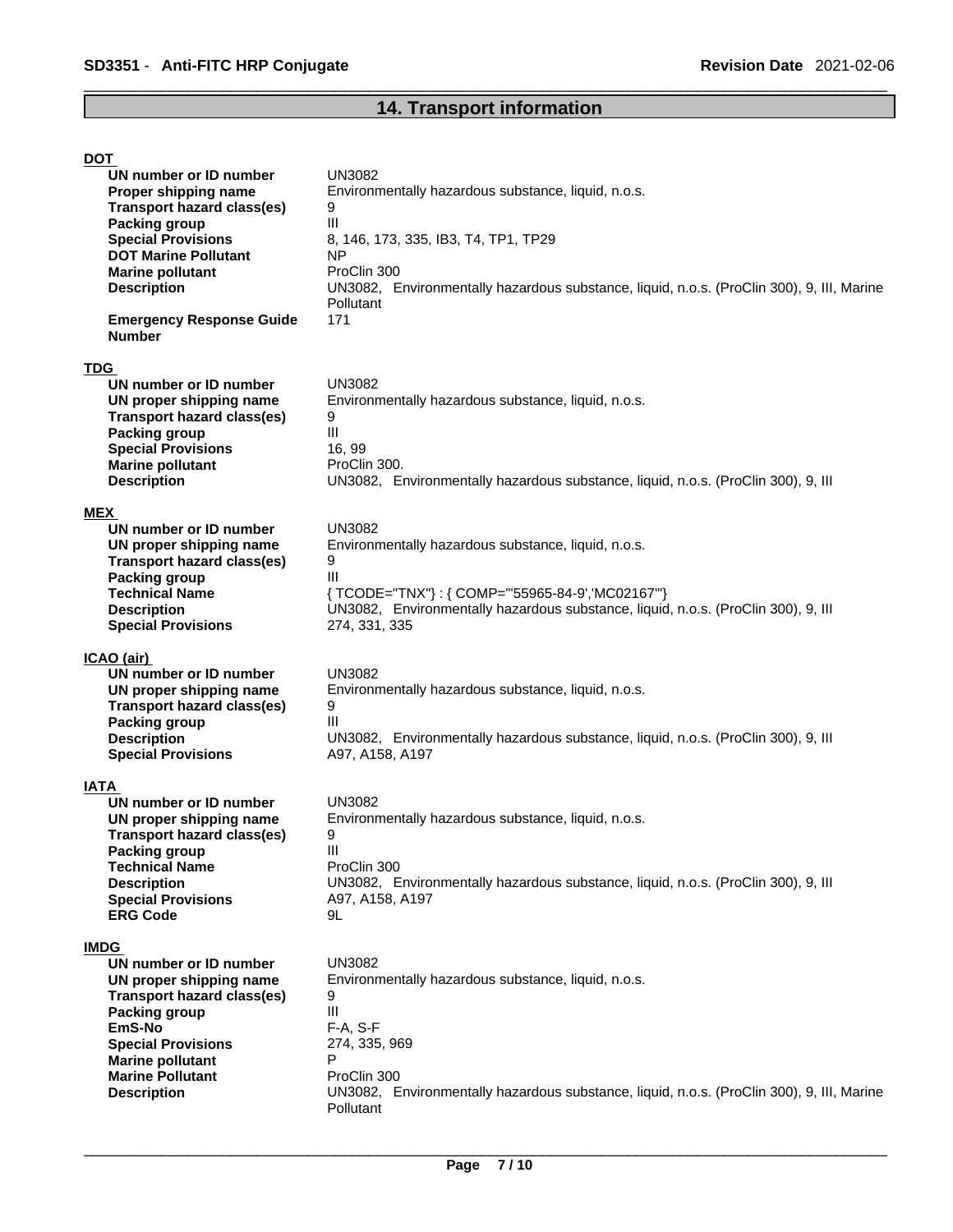# **14. Transport information**

| <b>DOT</b>                                       |                                                                                                        |
|--------------------------------------------------|--------------------------------------------------------------------------------------------------------|
| UN number or ID number                           | UN3082                                                                                                 |
| Proper shipping name                             | Environmentally hazardous substance, liquid, n.o.s.                                                    |
| <b>Transport hazard class(es)</b>                | 9                                                                                                      |
| <b>Packing group</b>                             | III                                                                                                    |
| <b>Special Provisions</b>                        | 8, 146, 173, 335, IB3, T4, TP1, TP29                                                                   |
| <b>DOT Marine Pollutant</b>                      | ΝP                                                                                                     |
| <b>Marine pollutant</b>                          | ProClin 300                                                                                            |
| <b>Description</b>                               | UN3082, Environmentally hazardous substance, liquid, n.o.s. (ProClin 300), 9, III, Marine<br>Pollutant |
| <b>Emergency Response Guide</b><br><b>Number</b> | 171                                                                                                    |
| <b>TDG</b>                                       |                                                                                                        |
| UN number or ID number                           | <b>UN3082</b>                                                                                          |
| UN proper shipping name                          | Environmentally hazardous substance, liquid, n.o.s.                                                    |
| <b>Transport hazard class(es)</b>                | 9                                                                                                      |
| <b>Packing group</b>                             | Ш                                                                                                      |
| <b>Special Provisions</b>                        | 16, 99                                                                                                 |
| <b>Marine pollutant</b>                          | ProClin 300.                                                                                           |
| <b>Description</b>                               | UN3082, Environmentally hazardous substance, liquid, n.o.s. (ProClin 300), 9, III                      |
|                                                  |                                                                                                        |
| MEX                                              |                                                                                                        |
| UN number or ID number                           | <b>UN3082</b>                                                                                          |
| UN proper shipping name                          | Environmentally hazardous substance, liquid, n.o.s.                                                    |
| <b>Transport hazard class(es)</b>                | 9                                                                                                      |
| <b>Packing group</b>                             | III                                                                                                    |
| <b>Technical Name</b>                            | {TCODE="TNX"}: {COMP="'55965-84-9','MC02167'"}                                                         |
| <b>Description</b>                               | UN3082, Environmentally hazardous substance, liquid, n.o.s. (ProClin 300), 9, III                      |
| <b>Special Provisions</b>                        | 274, 331, 335                                                                                          |
|                                                  |                                                                                                        |
| ICAO (air)<br>UN number or ID number             | <b>UN3082</b>                                                                                          |
| UN proper shipping name                          | Environmentally hazardous substance, liquid, n.o.s.                                                    |
| <b>Transport hazard class(es)</b>                | 9                                                                                                      |
| <b>Packing group</b>                             | III                                                                                                    |
| <b>Description</b>                               | UN3082, Environmentally hazardous substance, liquid, n.o.s. (ProClin 300), 9, III                      |
| <b>Special Provisions</b>                        | A97, A158, A197                                                                                        |
|                                                  |                                                                                                        |
| <b>IATA</b>                                      |                                                                                                        |
| UN number or ID number                           | <b>UN3082</b>                                                                                          |
| UN proper shipping name                          | Environmentally hazardous substance, liquid, n.o.s.                                                    |
| Transport hazard class(es)                       | 9                                                                                                      |
| <b>Packing group</b>                             | Ш                                                                                                      |
| <b>Technical Name</b>                            | ProClin 300                                                                                            |
| <b>Description</b>                               | UN3082, Environmentally hazardous substance, liquid, n.o.s. (ProClin 300), 9, III                      |
| <b>Special Provisions</b>                        | A97, A158, A197                                                                                        |
| <b>ERG Code</b>                                  | 9L                                                                                                     |
|                                                  |                                                                                                        |
| <b>IMDG</b><br>UN number or ID number            | <b>UN3082</b>                                                                                          |
|                                                  |                                                                                                        |
| UN proper shipping name                          | Environmentally hazardous substance, liquid, n.o.s.                                                    |
|                                                  |                                                                                                        |
| <b>Transport hazard class(es)</b>                | 9                                                                                                      |
| <b>Packing group</b>                             | Ш                                                                                                      |
| EmS-No                                           | F-A, S-F                                                                                               |
| <b>Special Provisions</b>                        | 274, 335, 969                                                                                          |
| <b>Marine pollutant</b>                          | P                                                                                                      |
| <b>Marine Pollutant</b>                          | ProClin 300                                                                                            |
| <b>Description</b>                               | UN3082, Environmentally hazardous substance, liquid, n.o.s. (ProClin 300), 9, III, Marine              |
|                                                  | Pollutant                                                                                              |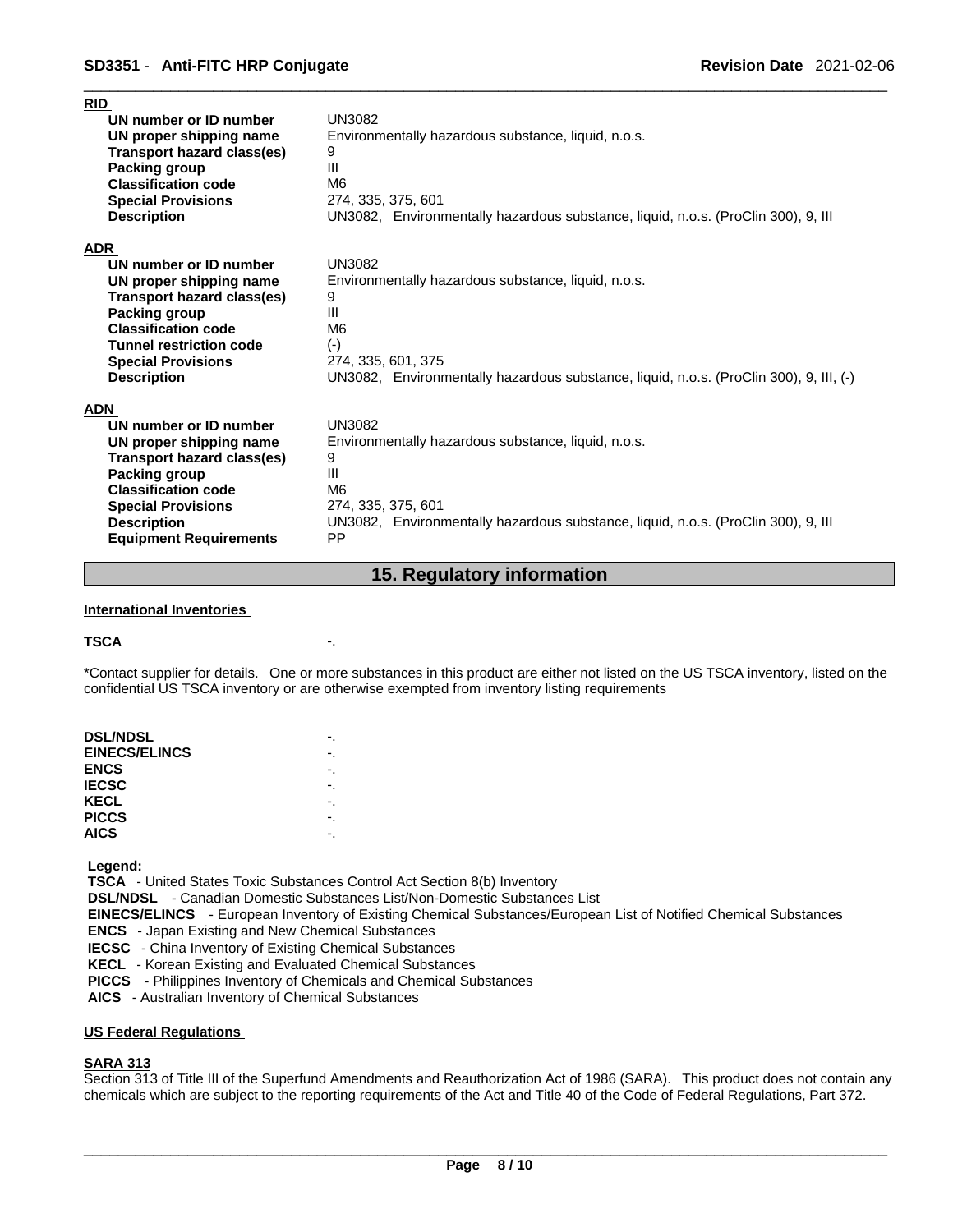| RID                               |                                                                                        |
|-----------------------------------|----------------------------------------------------------------------------------------|
| UN number or ID number            | <b>UN3082</b>                                                                          |
| UN proper shipping name           | Environmentally hazardous substance, liquid, n.o.s.                                    |
| Transport hazard class(es)        | 9                                                                                      |
| Packing group                     | III                                                                                    |
| <b>Classification code</b>        | M <sub>6</sub>                                                                         |
| <b>Special Provisions</b>         | 274, 335, 375, 601                                                                     |
| <b>Description</b>                | UN3082, Environmentally hazardous substance, liquid, n.o.s. (ProClin 300), 9, III      |
| <b>ADR</b>                        |                                                                                        |
| UN number or ID number            | <b>UN3082</b>                                                                          |
| UN proper shipping name           | Environmentally hazardous substance, liquid, n.o.s.                                    |
| <b>Transport hazard class(es)</b> | 9                                                                                      |
| Packing group                     | Ш                                                                                      |
| <b>Classification code</b>        | M <sub>6</sub>                                                                         |
| <b>Tunnel restriction code</b>    | $(-)$                                                                                  |
| <b>Special Provisions</b>         | 274, 335, 601, 375                                                                     |
| <b>Description</b>                | UN3082, Environmentally hazardous substance, liquid, n.o.s. (ProClin 300), 9, III, (-) |
| <b>ADN</b>                        |                                                                                        |
| UN number or ID number            | <b>UN3082</b>                                                                          |
| UN proper shipping name           | Environmentally hazardous substance, liquid, n.o.s.                                    |
| Transport hazard class(es)        | 9                                                                                      |
| Packing group                     | III                                                                                    |
| <b>Classification code</b>        | M <sub>6</sub>                                                                         |
| <b>Special Provisions</b>         | 274, 335, 375, 601                                                                     |
| <b>Description</b>                | UN3082, Environmentally hazardous substance, liquid, n.o.s. (ProClin 300), 9, III      |
| <b>Equipment Requirements</b>     | <b>PP</b>                                                                              |

#### **15. Regulatory information**

#### **International Inventories**

#### **TSCA** -.

\*Contact supplier for details. One or more substances in this product are either not listed on the US TSCA inventory, listed on the confidential US TSCA inventory or are otherwise exempted from inventory listing requirements

| <b>DSL/NDSL</b>      | ٠. |  |
|----------------------|----|--|
| <b>EINECS/ELINCS</b> |    |  |
| <b>ENCS</b>          |    |  |
| <b>IECSC</b>         |    |  |
| KECL                 | -. |  |
| <b>PICCS</b>         | ٠. |  |
| <b>AICS</b>          |    |  |
|                      |    |  |

 **Legend:** 

 **TSCA** - United States Toxic Substances Control Act Section 8(b) Inventory

 **DSL/NDSL** - Canadian Domestic Substances List/Non-Domestic Substances List

 **EINECS/ELINCS** - European Inventory of Existing Chemical Substances/European List of Notified Chemical Substances

 **ENCS** - Japan Existing and New Chemical Substances

 **IECSC** - China Inventory of Existing Chemical Substances

 **KECL** - Korean Existing and Evaluated Chemical Substances

 **PICCS** - Philippines Inventory of Chemicals and Chemical Substances

 **AICS** - Australian Inventory of Chemical Substances

#### **US Federal Regulations**

#### **SARA 313**

Section 313 of Title III of the Superfund Amendments and Reauthorization Act of 1986 (SARA). This product does not contain any chemicals which are subject to the reporting requirements of the Act and Title 40 of the Code of Federal Regulations, Part 372.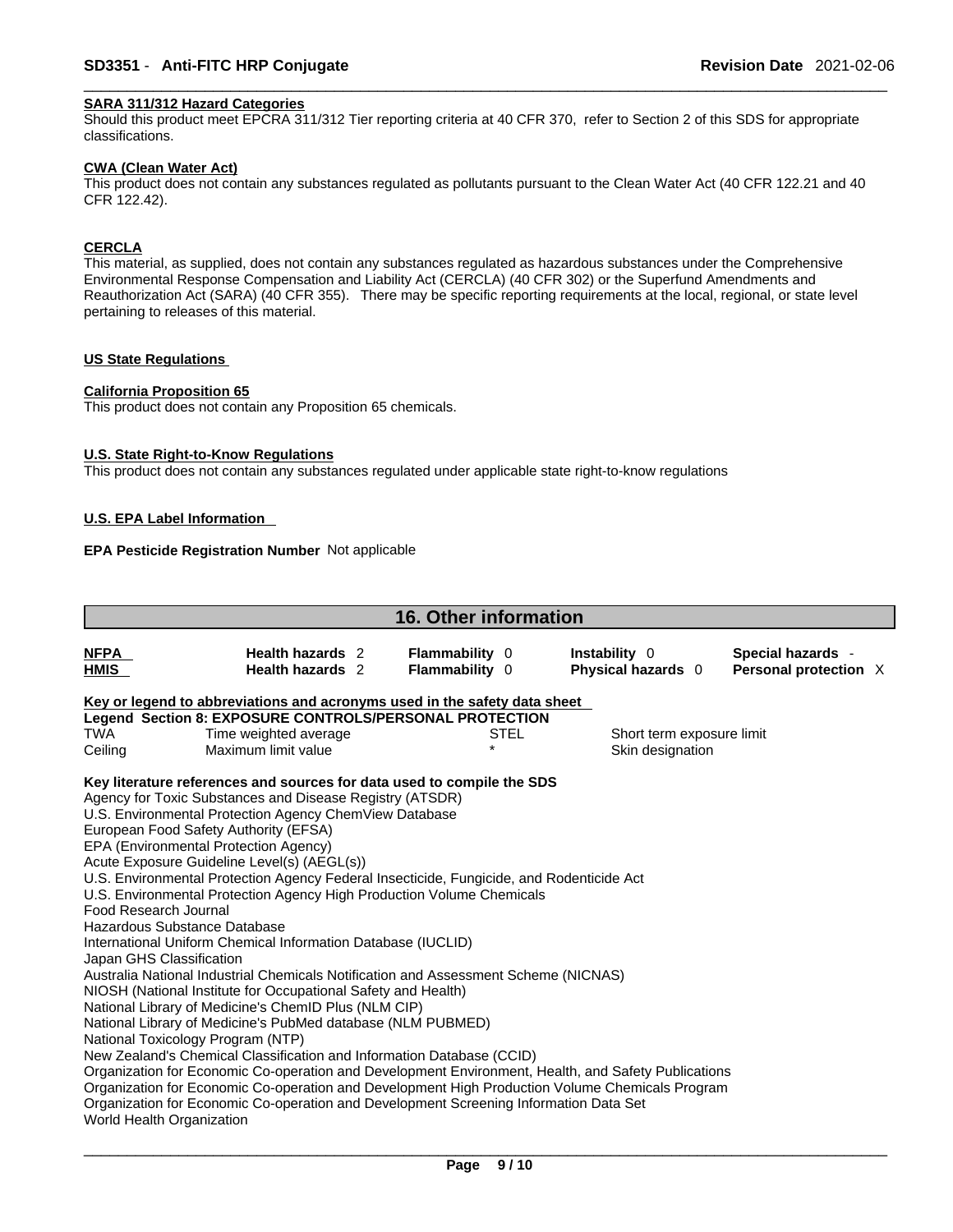#### **SARA 311/312 Hazard Categories**

Should this product meet EPCRA 311/312 Tier reporting criteria at 40 CFR 370, refer to Section 2 of this SDS for appropriate classifications.

#### **CWA (Clean WaterAct)**

This product does not contain any substances regulated as pollutants pursuant to the Clean Water Act (40 CFR 122.21 and 40 CFR 122.42).

#### **CERCLA**

This material, as supplied, does not contain any substances regulated as hazardous substances under the Comprehensive Environmental Response Compensation and Liability Act (CERCLA) (40 CFR 302) or the Superfund Amendments and Reauthorization Act (SARA) (40 CFR 355). There may be specific reporting requirements at the local, regional, or state level pertaining to releases of this material.

#### **US State Regulations**

#### **California Proposition 65**

This product does not contain any Proposition 65 chemicals.

#### **U.S. State Right-to-Know Regulations**

This product does not contain any substances regulated under applicable state right-to-know regulations

#### **U.S. EPA Label Information**

#### **EPA Pesticide Registration Number** Not applicable

|                                   |                                                                                                     |  | <b>16. Other information</b>            |                                     |                                            |  |
|-----------------------------------|-----------------------------------------------------------------------------------------------------|--|-----------------------------------------|-------------------------------------|--------------------------------------------|--|
| <b>NFPA</b><br>HMIS               | Health hazards 2<br><b>Health hazards</b> 2                                                         |  | <b>Flammability 0</b><br>Flammability 0 | Instability 0<br>Physical hazards 0 | Special hazards -<br>Personal protection X |  |
|                                   | Key or legend to abbreviations and acronyms used in the safety data sheet                           |  |                                         |                                     |                                            |  |
|                                   | Legend Section 8: EXPOSURE CONTROLS/PERSONAL PROTECTION                                             |  |                                         |                                     |                                            |  |
| <b>TWA</b>                        | Time weighted average<br>STEL<br>Short term exposure limit                                          |  |                                         |                                     |                                            |  |
| Ceiling                           | Maximum limit value                                                                                 |  |                                         | Skin designation                    |                                            |  |
|                                   | Key literature references and sources for data used to compile the SDS                              |  |                                         |                                     |                                            |  |
|                                   | Agency for Toxic Substances and Disease Registry (ATSDR)                                            |  |                                         |                                     |                                            |  |
|                                   | U.S. Environmental Protection Agency ChemView Database                                              |  |                                         |                                     |                                            |  |
|                                   | European Food Safety Authority (EFSA)                                                               |  |                                         |                                     |                                            |  |
|                                   | EPA (Environmental Protection Agency)                                                               |  |                                         |                                     |                                            |  |
|                                   | Acute Exposure Guideline Level(s) (AEGL(s))                                                         |  |                                         |                                     |                                            |  |
|                                   | U.S. Environmental Protection Agency Federal Insecticide, Fungicide, and Rodenticide Act            |  |                                         |                                     |                                            |  |
|                                   | U.S. Environmental Protection Agency High Production Volume Chemicals                               |  |                                         |                                     |                                            |  |
| Food Research Journal             |                                                                                                     |  |                                         |                                     |                                            |  |
| Hazardous Substance Database      |                                                                                                     |  |                                         |                                     |                                            |  |
|                                   | International Uniform Chemical Information Database (IUCLID)                                        |  |                                         |                                     |                                            |  |
| Japan GHS Classification          |                                                                                                     |  |                                         |                                     |                                            |  |
|                                   | Australia National Industrial Chemicals Notification and Assessment Scheme (NICNAS)                 |  |                                         |                                     |                                            |  |
|                                   | NIOSH (National Institute for Occupational Safety and Health)                                       |  |                                         |                                     |                                            |  |
|                                   | National Library of Medicine's ChemID Plus (NLM CIP)                                                |  |                                         |                                     |                                            |  |
|                                   | National Library of Medicine's PubMed database (NLM PUBMED)                                         |  |                                         |                                     |                                            |  |
| National Toxicology Program (NTP) |                                                                                                     |  |                                         |                                     |                                            |  |
|                                   | New Zealand's Chemical Classification and Information Database (CCID)                               |  |                                         |                                     |                                            |  |
|                                   | Organization for Economic Co-operation and Development Environment, Health, and Safety Publications |  |                                         |                                     |                                            |  |
|                                   | Organization for Economic Co-operation and Development High Production Volume Chemicals Program     |  |                                         |                                     |                                            |  |
|                                   | Organization for Economic Co-operation and Development Screening Information Data Set               |  |                                         |                                     |                                            |  |
| World Health Organization         |                                                                                                     |  |                                         |                                     |                                            |  |